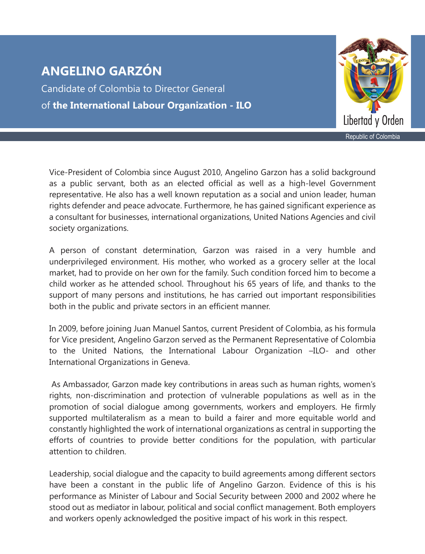Candidate of Colombia to Director General of **the International Labour Organization - ILO**



Vice-President of Colombia since August 2010, Angelino Garzon has a solid background as a public servant, both as an elected official as well as a high-level Government representative. He also has a well known reputation as a social and union leader, human rights defender and peace advocate. Furthermore, he has gained significant experience as a consultant for businesses, international organizations, United Nations Agencies and civil society organizations.

A person of constant determination, Garzon was raised in a very humble and underprivileged environment. His mother, who worked as a grocery seller at the local market, had to provide on her own for the family. Such condition forced him to become a child worker as he attended school. Throughout his 65 years of life, and thanks to the support of many persons and institutions, he has carried out important responsibilities both in the public and private sectors in an efficient manner.

In 2009, before joining Juan Manuel Santos, current President of Colombia, as his formula for Vice president, Angelino Garzon served as the Permanent Representative of Colombia to the United Nations, the International Labour Organization –ILO- and other International Organizations in Geneva.

 As Ambassador, Garzon made key contributions in areas such as human rights, women's rights, non-discrimination and protection of vulnerable populations as well as in the promotion of social dialogue among governments, workers and employers. He firmly supported multilateralism as a mean to build a fairer and more equitable world and constantly highlighted the work of international organizations as central in supporting the efforts of countries to provide better conditions for the population, with particular attention to children.

Leadership, social dialogue and the capacity to build agreements among different sectors have been a constant in the public life of Angelino Garzon. Evidence of this is his performance as Minister of Labour and Social Security between 2000 and 2002 where he stood out as mediator in labour, political and social conflict management. Both employers and workers openly acknowledged the positive impact of his work in this respect.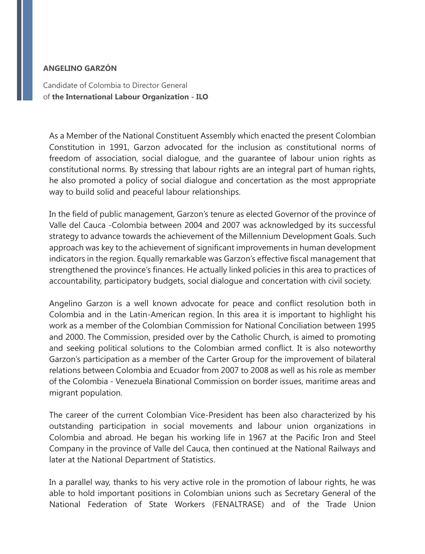Candidate of Colombia to Director General of **the International Labour Organization - ILO**

As a Member of the National Constituent Assembly which enacted the present Colombian Constitution in 1991, Garzon advocated for the inclusion as constitutional norms of freedom of association, social dialogue, and the guarantee of labour union rights as constitutional norms. By stressing that labour rights are an integral part of human rights, he also promoted a policy of social dialogue and concertation as the most appropriate way to build solid and peaceful labour relationships.

In the field of public management, Garzon's tenure as elected Governor of the province of Valle del Cauca -Colombia between 2004 and 2007 was acknowledged by its successful strategy to advance towards the achievement of the Millennium Development Goals. Such approach was key to the achievement of significant improvements in human development indicators in the region. Equally remarkable was Garzon's effective fiscal management that strengthened the province's finances. He actually linked policies in this area to practices of accountability, participatory budgets, social dialogue and concertation with civil society.

Angelino Garzon is a well known advocate for peace and conflict resolution both in Colombia and in the Latin-American region. In this area it is important to highlight his work as a member of the Colombian Commission for National Conciliation between 1995 and 2000. The Commission, presided over by the Catholic Church, is aimed to promoting and seeking political solutions to the Colombian armed conflict. It is also noteworthy Garzon's participation as a member of the Carter Group for the improvement of bilateral relations between Colombia and Ecuador from 2007 to 2008 as well as his role as member of the Colombia - Venezuela Binational Commission on border issues, maritime areas and migrant population.

The career of the current Colombian Vice-President has been also characterized by his outstanding participation in social movements and labour union organizations in Colombia and abroad. He began his working life in 1967 at the Pacific Iron and Steel Company in the province of Valle del Cauca, then continued at the National Railways and later at the National Department of Statistics.

In a parallel way, thanks to his very active role in the promotion of labour rights, he was able to hold important positions in Colombian unions such as Secretary General of the National Federation of State Workers (FENALTRASE) and of the Trade Union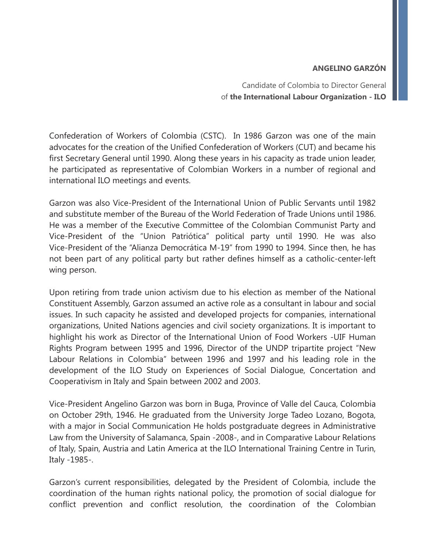Candidate of Colombia to Director General of **the International Labour Organization - ILO**

Confederation of Workers of Colombia (CSTC). In 1986 Garzon was one of the main advocates for the creation of the Unified Confederation of Workers (CUT) and became his first Secretary General until 1990. Along these years in his capacity as trade union leader, he participated as representative of Colombian Workers in a number of regional and international ILO meetings and events.

Garzon was also Vice-President of the International Union of Public Servants until 1982 and substitute member of the Bureau of the World Federation of Trade Unions until 1986. He was a member of the Executive Committee of the Colombian Communist Party and Vice-President of the "Union Patriótica" political party until 1990. He was also Vice-President of the "Alianza Democrática M-19" from 1990 to 1994. Since then, he has not been part of any political party but rather defines himself as a catholic-center-left wing person.

Upon retiring from trade union activism due to his election as member of the National Constituent Assembly, Garzon assumed an active role as a consultant in labour and social issues. In such capacity he assisted and developed projects for companies, international organizations, United Nations agencies and civil society organizations. It is important to highlight his work as Director of the International Union of Food Workers -UIF Human Rights Program between 1995 and 1996, Director of the UNDP tripartite project "New Labour Relations in Colombia" between 1996 and 1997 and his leading role in the development of the ILO Study on Experiences of Social Dialogue, Concertation and Cooperativism in Italy and Spain between 2002 and 2003.

Vice-President Angelino Garzon was born in Buga, Province of Valle del Cauca, Colombia on October 29th, 1946. He graduated from the University Jorge Tadeo Lozano, Bogota, with a major in Social Communication He holds postgraduate degrees in Administrative Law from the University of Salamanca, Spain -2008-, and in Comparative Labour Relations of Italy, Spain, Austria and Latin America at the ILO International Training Centre in Turin, Italy -1985-.

Garzon's current responsibilities, delegated by the President of Colombia, include the coordination of the human rights national policy, the promotion of social dialogue for conflict prevention and conflict resolution, the coordination of the Colombian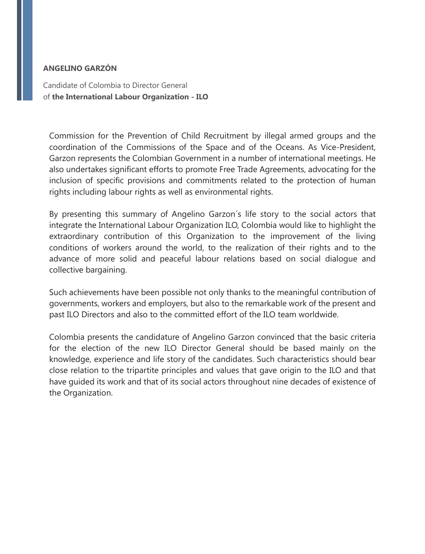Candidate of Colombia to Director General of **the International Labour Organization - ILO**

Commission for the Prevention of Child Recruitment by illegal armed groups and the coordination of the Commissions of the Space and of the Oceans. As Vice-President, Garzon represents the Colombian Government in a number of international meetings. He also undertakes significant efforts to promote Free Trade Agreements, advocating for the inclusion of specific provisions and commitments related to the protection of human rights including labour rights as well as environmental rights.

By presenting this summary of Angelino Garzon´s life story to the social actors that integrate the International Labour Organization ILO, Colombia would like to highlight the extraordinary contribution of this Organization to the improvement of the living conditions of workers around the world, to the realization of their rights and to the advance of more solid and peaceful labour relations based on social dialogue and collective bargaining.

Such achievements have been possible not only thanks to the meaningful contribution of governments, workers and employers, but also to the remarkable work of the present and past ILO Directors and also to the committed effort of the ILO team worldwide.

Colombia presents the candidature of Angelino Garzon convinced that the basic criteria for the election of the new ILO Director General should be based mainly on the knowledge, experience and life story of the candidates. Such characteristics should bear close relation to the tripartite principles and values that gave origin to the ILO and that have guided its work and that of its social actors throughout nine decades of existence of the Organization.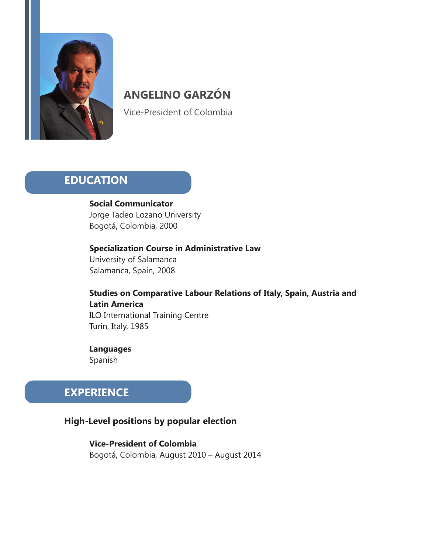

Vice-President of Colombia

## **EDUCATION**

 **Social Communicator**  Jorge Tadeo Lozano University Bogotá, Colombia, 2000

 **Specialization Course in Administrative Law**  University of Salamanca Salamanca, Spain, 2008

 **Studies on Comparative Labour Relations of Italy, Spain, Austria and Latin America**  ILO International Training Centre Turin, Italy, 1985

 **Languages** Spanish

## **EXPERIENCE**

## **High-Level positions by popular election**

**Vice-President of Colombia**  Bogotá, Colombia, August 2010 – August 2014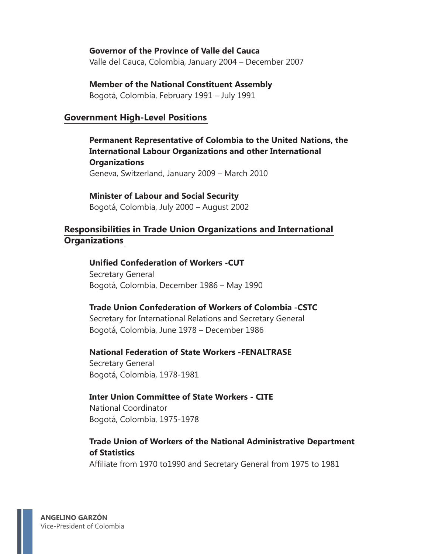#### **Governor of the Province of Valle del Cauca**

Valle del Cauca, Colombia, January 2004 – December 2007

#### **Member of the National Constituent Assembly**

Bogotá, Colombia, February 1991 – July 1991

#### **Government High-Level Positions**

**Permanent Representative of Colombia to the United Nations, the International Labour Organizations and other International Organizations** Geneva, Switzerland, January 2009 – March 2010

**Minister of Labour and Social Security**  Bogotá, Colombia, July 2000 – August 2002

## **Responsibilities in Trade Union Organizations and International Organizations**

**Unified Confederation of Workers -CUT** Secretary General Bogotá, Colombia, December 1986 – May 1990

#### **Trade Union Confederation of Workers of Colombia -CSTC**

 Secretary for International Relations and Secretary General Bogotá, Colombia, June 1978 – December 1986

**National Federation of State Workers -FENALTRASE** 

 Secretary General Bogotá, Colombia, 1978-1981

#### **Inter Union Committee of State Workers - CITE**

 National Coordinator Bogotá, Colombia, 1975-1978

#### **Trade Union of Workers of the National Administrative Department of Statistics**

Affiliate from 1970 to1990 and Secretary General from 1975 to 1981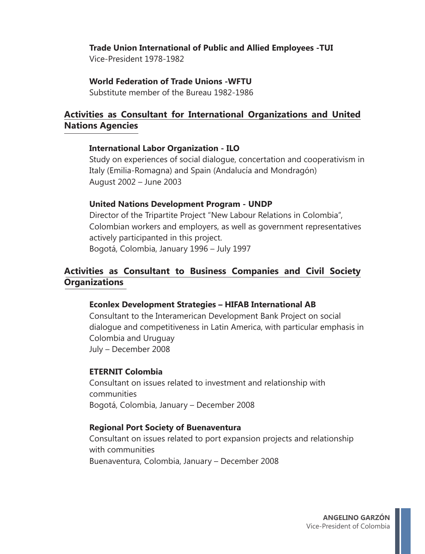## **Trade Union International of Public and Allied Employees -TUI**

Vice-President 1978-1982

#### **World Federation of Trade Unions -WFTU**

Substitute member of the Bureau 1982-1986

## **Activities as Consultant for International Organizations and United Nations Agencies**

### **International Labor Organization - ILO**

 Study on experiences of social dialogue, concertation and cooperativism in Italy (Emilia-Romagna) and Spain (Andalucía and Mondragón) August 2002 – June 2003

### **United Nations Development Program - UNDP**

 Director of the Tripartite Project "New Labour Relations in Colombia", Colombian workers and employers, as well as government representatives actively participanted in this project. Bogotá, Colombia, January 1996 – July 1997

## **Activities as Consultant to Business Companies and Civil Society Organizations**

## **Econlex Development Strategies – HIFAB International AB**

 Consultant to the Interamerican Development Bank Project on social dialogue and competitiveness in Latin America, with particular emphasis in Colombia and Uruguay July – December 2008

### **ETERNIT Colombia**

 Consultant on issues related to investment and relationship with communities Bogotá, Colombia, January – December 2008

### **Regional Port Society of Buenaventura**

 Consultant on issues related to port expansion projects and relationship with communities Buenaventura, Colombia, January – December 2008